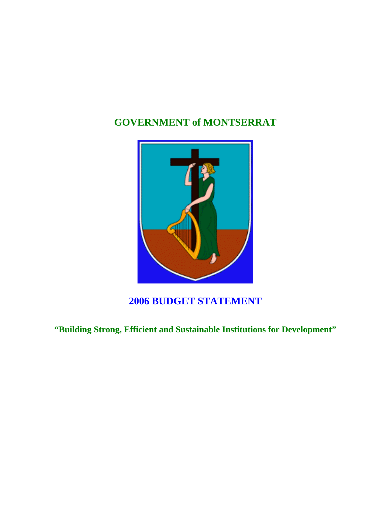# **GOVERNMENT of MONTSERRAT**



# **2006 BUDGET STATEMENT**

**"Building Strong, Efficient and Sustainable Institutions for Development"**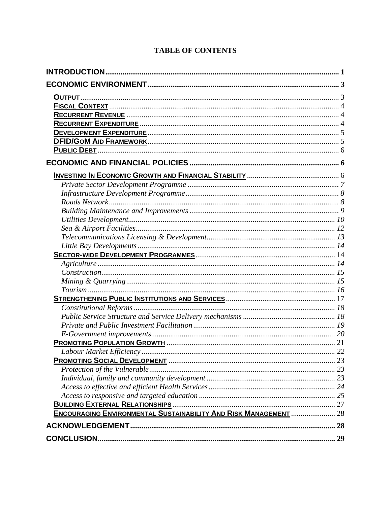| <b>ENCOURAGING ENVIRONMENTAL SUSTAINABILITY AND RISK MANAGEMENT  28</b> |  |
|-------------------------------------------------------------------------|--|
|                                                                         |  |
|                                                                         |  |

#### **TABLE OF CONTENTS**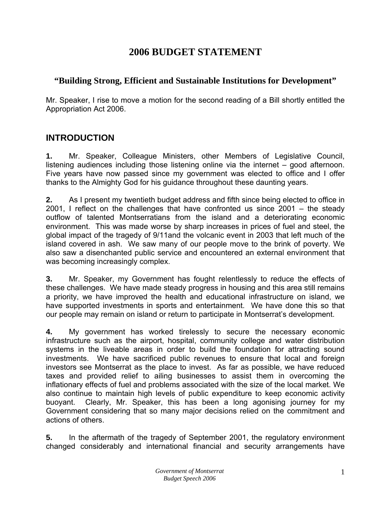# **2006 BUDGET STATEMENT**

#### <span id="page-2-0"></span>**"Building Strong, Efficient and Sustainable Institutions for Development"**

Mr. Speaker, I rise to move a motion for the second reading of a Bill shortly entitled the Appropriation Act 2006.

### **INTRODUCTION**

**1.** Mr. Speaker, Colleague Ministers, other Members of Legislative Council, listening audiences including those listening online via the internet – good afternoon. Five years have now passed since my government was elected to office and I offer thanks to the Almighty God for his guidance throughout these daunting years.

**2.** As I present my twentieth budget address and fifth since being elected to office in 2001, I reflect on the challenges that have confronted us since 2001 – the steady outflow of talented Montserratians from the island and a deteriorating economic environment. This was made worse by sharp increases in prices of fuel and steel, the global impact of the tragedy of 9/11and the volcanic event in 2003 that left much of the island covered in ash. We saw many of our people move to the brink of poverty. We also saw a disenchanted public service and encountered an external environment that was becoming increasingly complex.

**3.** Mr. Speaker, my Government has fought relentlessly to reduce the effects of these challenges. We have made steady progress in housing and this area still remains a priority, we have improved the health and educational infrastructure on island, we have supported investments in sports and entertainment. We have done this so that our people may remain on island or return to participate in Montserrat's development.

**4.** My government has worked tirelessly to secure the necessary economic infrastructure such as the airport, hospital, community college and water distribution systems in the liveable areas in order to build the foundation for attracting sound investments. We have sacrificed public revenues to ensure that local and foreign investors see Montserrat as the place to invest. As far as possible, we have reduced taxes and provided relief to ailing businesses to assist them in overcoming the inflationary effects of fuel and problems associated with the size of the local market. We also continue to maintain high levels of public expenditure to keep economic activity buoyant. Clearly, Mr. Speaker, this has been a long agonising journey for my Government considering that so many major decisions relied on the commitment and actions of others.

**5.** In the aftermath of the tragedy of September 2001, the regulatory environment changed considerably and international financial and security arrangements have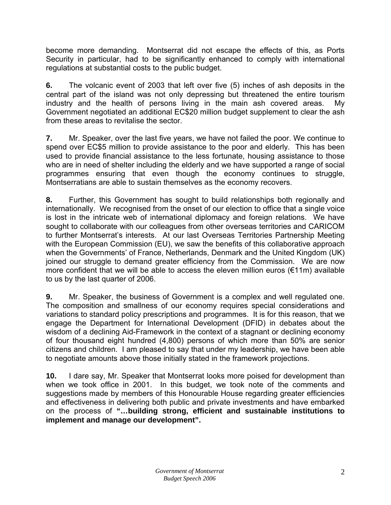become more demanding. Montserrat did not escape the effects of this, as Ports Security in particular, had to be significantly enhanced to comply with international regulations at substantial costs to the public budget.

**6.** The volcanic event of 2003 that left over five (5) inches of ash deposits in the central part of the island was not only depressing but threatened the entire tourism industry and the health of persons living in the main ash covered areas. My Government negotiated an additional EC\$20 million budget supplement to clear the ash from these areas to revitalise the sector.

**7.** Mr. Speaker, over the last five years, we have not failed the poor. We continue to spend over EC\$5 million to provide assistance to the poor and elderly. This has been used to provide financial assistance to the less fortunate, housing assistance to those who are in need of shelter including the elderly and we have supported a range of social programmes ensuring that even though the economy continues to struggle, Montserratians are able to sustain themselves as the economy recovers.

**8.** Further, this Government has sought to build relationships both regionally and internationally. We recognised from the onset of our election to office that a single voice is lost in the intricate web of international diplomacy and foreign relations. We have sought to collaborate with our colleagues from other overseas territories and CARICOM to further Montserrat's interests. At our last Overseas Territories Partnership Meeting with the European Commission (EU), we saw the benefits of this collaborative approach when the Governments' of France, Netherlands, Denmark and the United Kingdom (UK) joined our struggle to demand greater efficiency from the Commission. We are now more confident that we will be able to access the eleven million euros  $(\epsilon 11m)$  available to us by the last quarter of 2006.

**9.** Mr. Speaker, the business of Government is a complex and well regulated one. The composition and smallness of our economy requires special considerations and variations to standard policy prescriptions and programmes. It is for this reason, that we engage the Department for International Development (DFID) in debates about the wisdom of a declining Aid-Framework in the context of a stagnant or declining economy of four thousand eight hundred (4,800) persons of which more than 50% are senior citizens and children. I am pleased to say that under my leadership, we have been able to negotiate amounts above those initially stated in the framework projections.

**10.** I dare say, Mr. Speaker that Montserrat looks more poised for development than when we took office in 2001. In this budget, we took note of the comments and suggestions made by members of this Honourable House regarding greater efficiencies and effectiveness in delivering both public and private investments and have embarked on the process of **"…building strong, efficient and sustainable institutions to implement and manage our development".**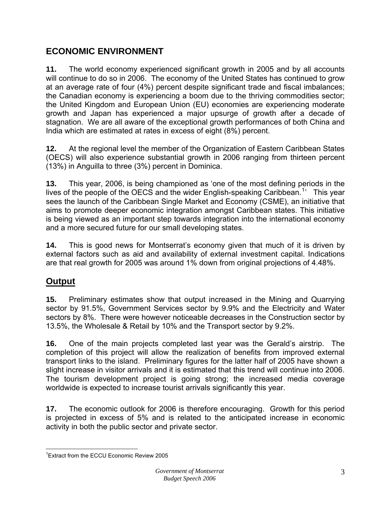# <span id="page-4-0"></span>**ECONOMIC ENVIRONMENT**

**11.** The world economy experienced significant growth in 2005 and by all accounts will continue to do so in 2006. The economy of the United States has continued to grow at an average rate of four (4%) percent despite significant trade and fiscal imbalances; the Canadian economy is experiencing a boom due to the thriving commodities sector; the United Kingdom and European Union (EU) economies are experiencing moderate growth and Japan has experienced a major upsurge of growth after a decade of stagnation. We are all aware of the exceptional growth performances of both China and India which are estimated at rates in excess of eight (8%) percent.

**12.** At the regional level the member of the Organization of Eastern Caribbean States (OECS) will also experience substantial growth in 2006 ranging from thirteen percent (13%) in Anguilla to three (3%) percent in Dominica.

**13.** This year, 2006, is being championed as 'one of the most defining periods in the lives of the people of the OECS and the wider English-speaking Caribbean.<sup>[1](#page-4-1)</sup>' This year sees the launch of the Caribbean Single Market and Economy (CSME), an initiative that aims to promote deeper economic integration amongst Caribbean states. This initiative is being viewed as an important step towards integration into the international economy and a more secured future for our small developing states.

**14.** This is good news for Montserrat's economy given that much of it is driven by external factors such as aid and availability of external investment capital. Indications are that real growth for 2005 was around 1% down from original projections of 4.48%.

# **Output**

**15.** Preliminary estimates show that output increased in the Mining and Quarrying sector by 91.5%, Government Services sector by 9.9% and the Electricity and Water sectors by 8%. There were however noticeable decreases in the Construction sector by 13.5%, the Wholesale & Retail by 10% and the Transport sector by 9.2%.

**16.** One of the main projects completed last year was the Gerald's airstrip. The completion of this project will allow the realization of benefits from improved external transport links to the island. Preliminary figures for the latter half of 2005 have shown a slight increase in visitor arrivals and it is estimated that this trend will continue into 2006. The tourism development project is going strong; the increased media coverage worldwide is expected to increase tourist arrivals significantly this year.

**17.** The economic outlook for 2006 is therefore encouraging. Growth for this period is projected in excess of 5% and is related to the anticipated increase in economic activity in both the public sector and private sector.

<span id="page-4-1"></span> $\overline{a}$ 1 Extract from the ECCU Economic Review 2005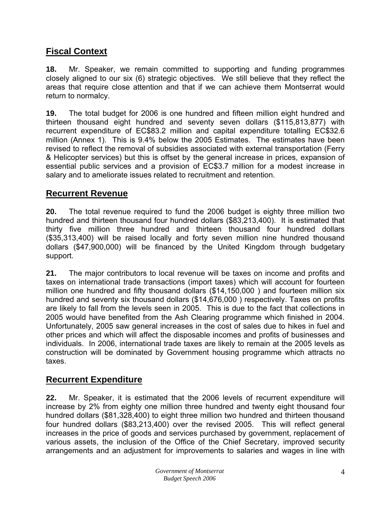# <span id="page-5-0"></span>**Fiscal Context**

**18.** Mr. Speaker, we remain committed to supporting and funding programmes closely aligned to our six (6) strategic objectives. We still believe that they reflect the areas that require close attention and that if we can achieve them Montserrat would return to normalcy.

**19.** The total budget for 2006 is one hundred and fifteen million eight hundred and thirteen thousand eight hundred and seventy seven dollars (\$115,813,877) with recurrent expenditure of EC\$83.2 million and capital expenditure totalling EC\$32.6 million (Annex 1). This is 9.4% below the 2005 Estimates. The estimates have been revised to reflect the removal of subsidies associated with external transportation (Ferry & Helicopter services) but this is offset by the general increase in prices, expansion of essential public services and a provision of EC\$3.7 million for a modest increase in salary and to ameliorate issues related to recruitment and retention.

#### **Recurrent Revenue**

**20.** The total revenue required to fund the 2006 budget is eighty three million two hundred and thirteen thousand four hundred dollars (\$83,213,400). It is estimated that thirty five million three hundred and thirteen thousand four hundred dollars (\$35,313,400) will be raised locally and forty seven million nine hundred thousand dollars (\$47,900,000) will be financed by the United Kingdom through budgetary support.

**21.** The major contributors to local revenue will be taxes on income and profits and taxes on international trade transactions (import taxes) which will account for fourteen million one hundred and fifty thousand dollars (\$14,150,000 ) and fourteen million six hundred and seventy six thousand dollars (\$14,676,000 ) respectively. Taxes on profits are likely to fall from the levels seen in 2005. This is due to the fact that collections in 2005 would have benefited from the Ash Clearing programme which finished in 2004. Unfortunately, 2005 saw general increases in the cost of sales due to hikes in fuel and other prices and which will affect the disposable incomes and profits of businesses and individuals. In 2006, international trade taxes are likely to remain at the 2005 levels as construction will be dominated by Government housing programme which attracts no taxes.

#### **Recurrent Expenditure**

**22.** Mr. Speaker, it is estimated that the 2006 levels of recurrent expenditure will increase by 2% from eighty one million three hundred and twenty eight thousand four hundred dollars (\$81,328,400) to eight three million two hundred and thirteen thousand four hundred dollars (\$83,213,400) over the revised 2005. This will reflect general increases in the price of goods and services purchased by government, replacement of various assets, the inclusion of the Office of the Chief Secretary, improved security arrangements and an adjustment for improvements to salaries and wages in line with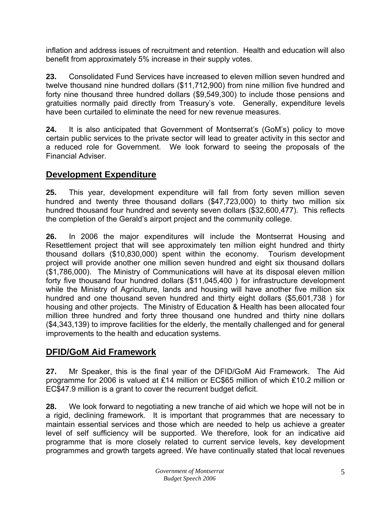<span id="page-6-0"></span>inflation and address issues of recruitment and retention. Health and education will also benefit from approximately 5% increase in their supply votes.

**23.** Consolidated Fund Services have increased to eleven million seven hundred and twelve thousand nine hundred dollars (\$11,712,900) from nine million five hundred and forty nine thousand three hundred dollars (\$9,549,300) to include those pensions and gratuities normally paid directly from Treasury's vote. Generally, expenditure levels have been curtailed to eliminate the need for new revenue measures.

**24.** It is also anticipated that Government of Montserrat's (GoM's) policy to move certain public services to the private sector will lead to greater activity in this sector and a reduced role for Government. We look forward to seeing the proposals of the Financial Adviser.

# **Development Expenditure**

**25.** This year, development expenditure will fall from forty seven million seven hundred and twenty three thousand dollars (\$47,723,000) to thirty two million six hundred thousand four hundred and seventy seven dollars (\$32,600,477). This reflects the completion of the Gerald's airport project and the community college.

**26.** In 2006 the major expenditures will include the Montserrat Housing and Resettlement project that will see approximately ten million eight hundred and thirty thousand dollars (\$10,830,000) spent within the economy. Tourism development project will provide another one million seven hundred and eight six thousand dollars (\$1,786,000). The Ministry of Communications will have at its disposal eleven million forty five thousand four hundred dollars (\$11,045,400 ) for infrastructure development while the Ministry of Agriculture, lands and housing will have another five million six hundred and one thousand seven hundred and thirty eight dollars (\$5,601,738 ) for housing and other projects. The Ministry of Education & Health has been allocated four million three hundred and forty three thousand one hundred and thirty nine dollars (\$4,343,139) to improve facilities for the elderly, the mentally challenged and for general improvements to the health and education systems.

# **DFID/GoM Aid Framework**

**27.** Mr Speaker, this is the final year of the DFID/GoM Aid Framework. The Aid programme for 2006 is valued at £14 million or EC\$65 million of which £10.2 million or EC\$47.9 million is a grant to cover the recurrent budget deficit.

**28.** We look forward to negotiating a new tranche of aid which we hope will not be in a rigid, declining framework. It is important that programmes that are necessary to maintain essential services and those which are needed to help us achieve a greater level of self sufficiency will be supported. We therefore, look for an indicative aid programme that is more closely related to current service levels, key development programmes and growth targets agreed. We have continually stated that local revenues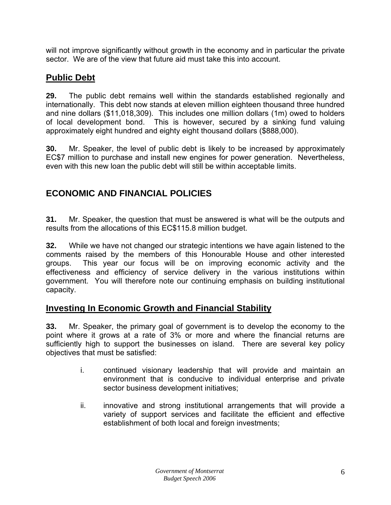<span id="page-7-0"></span>will not improve significantly without growth in the economy and in particular the private sector. We are of the view that future aid must take this into account.

# **Public Debt**

**29.** The public debt remains well within the standards established regionally and internationally. This debt now stands at eleven million eighteen thousand three hundred and nine dollars (\$11,018,309). This includes one million dollars (1m) owed to holders of local development bond. This is however, secured by a sinking fund valuing approximately eight hundred and eighty eight thousand dollars (\$888,000).

**30.** Mr. Speaker, the level of public debt is likely to be increased by approximately EC\$7 million to purchase and install new engines for power generation. Nevertheless, even with this new loan the public debt will still be within acceptable limits.

# **ECONOMIC AND FINANCIAL POLICIES**

**31.** Mr. Speaker, the question that must be answered is what will be the outputs and results from the allocations of this EC\$115.8 million budget.

**32.** While we have not changed our strategic intentions we have again listened to the comments raised by the members of this Honourable House and other interested groups. This year our focus will be on improving economic activity and the effectiveness and efficiency of service delivery in the various institutions within government. You will therefore note our continuing emphasis on building institutional capacity.

# **Investing In Economic Growth and Financial Stability**

**33.** Mr. Speaker, the primary goal of government is to develop the economy to the point where it grows at a rate of 3% or more and where the financial returns are sufficiently high to support the businesses on island. There are several key policy objectives that must be satisfied:

- i. continued visionary leadership that will provide and maintain an environment that is conducive to individual enterprise and private sector business development initiatives;
- ii. innovative and strong institutional arrangements that will provide a variety of support services and facilitate the efficient and effective establishment of both local and foreign investments;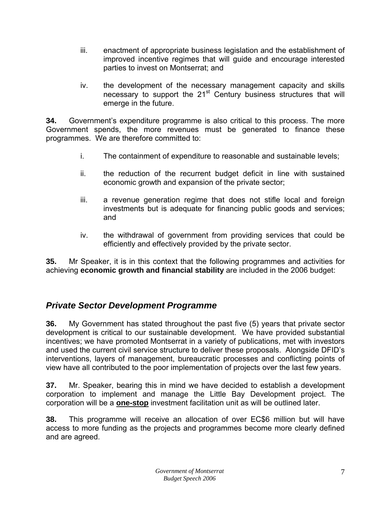- <span id="page-8-0"></span>iii. enactment of appropriate business legislation and the establishment of improved incentive regimes that will guide and encourage interested parties to invest on Montserrat; and
- iv. the development of the necessary management capacity and skills necessary to support the 21<sup>st</sup> Century business structures that will emerge in the future.

**34.** Government's expenditure programme is also critical to this process. The more Government spends, the more revenues must be generated to finance these programmes. We are therefore committed to:

- i. The containment of expenditure to reasonable and sustainable levels;
- ii. the reduction of the recurrent budget deficit in line with sustained economic growth and expansion of the private sector;
- iii. a revenue generation regime that does not stifle local and foreign investments but is adequate for financing public goods and services; and
- iv. the withdrawal of government from providing services that could be efficiently and effectively provided by the private sector.

**35.** Mr Speaker, it is in this context that the following programmes and activities for achieving **economic growth and financial stability** are included in the 2006 budget:

#### *Private Sector Development Programme*

**36.** My Government has stated throughout the past five (5) years that private sector development is critical to our sustainable development. We have provided substantial incentives; we have promoted Montserrat in a variety of publications, met with investors and used the current civil service structure to deliver these proposals. Alongside DFID's interventions, layers of management, bureaucratic processes and conflicting points of view have all contributed to the poor implementation of projects over the last few years.

**37.** Mr. Speaker, bearing this in mind we have decided to establish a development corporation to implement and manage the Little Bay Development project. The corporation will be a **one-stop** investment facilitation unit as will be outlined later.

**38.** This programme will receive an allocation of over EC\$6 million but will have access to more funding as the projects and programmes become more clearly defined and are agreed.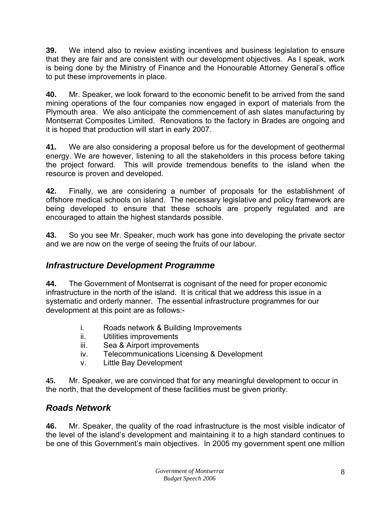<span id="page-9-0"></span>**39.** We intend also to review existing incentives and business legislation to ensure that they are fair and are consistent with our development objectives. As I speak, work is being done by the Ministry of Finance and the Honourable Attorney General's office to put these improvements in place.

**40.** Mr. Speaker, we look forward to the economic benefit to be arrived from the sand mining operations of the four companies now engaged in export of materials from the Plymouth area. We also anticipate the commencement of ash slates manufacturing by Montserrat Composites Limited. Renovations to the factory in Brades are ongoing and it is hoped that production will start in early 2007.

**41.** We are also considering a proposal before us for the development of geothermal energy. We are however, listening to all the stakeholders in this process before taking the project forward. This will provide tremendous benefits to the island when the resource is proven and developed.

**42.** Finally, we are considering a number of proposals for the establishment of offshore medical schools on island. The necessary legislative and policy framework are being developed to ensure that these schools are properly regulated and are encouraged to attain the highest standards possible.

**43.** So you see Mr. Speaker, much work has gone into developing the private sector and we are now on the verge of seeing the fruits of our labour.

# *Infrastructure Development Programme*

**44.** The Government of Montserrat is cognisant of the need for proper economic infrastructure in the north of the island. It is critical that we address this issue in a systematic and orderly manner. The essential infrastructure programmes for our development at this point are as follows:-

- i. Roads network & Building Improvements
- ii. Utilities improvements
- iii. Sea & Airport improvements
- iv. Telecommunications Licensing & Development
- v. Little Bay Development

**45.** Mr. Speaker, we are convinced that for any meaningful development to occur in the north, that the development of these facilities must be given priority.

# *Roads Network*

**46.** Mr. Speaker, the quality of the road infrastructure is the most visible indicator of the level of the island's development and maintaining it to a high standard continues to be one of this Government's main objectives. In 2005 my government spent one million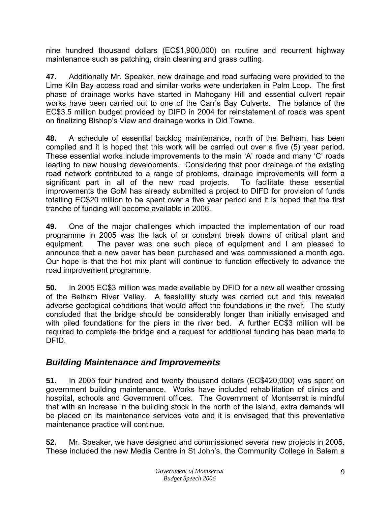<span id="page-10-0"></span>nine hundred thousand dollars (EC\$1,900,000) on routine and recurrent highway maintenance such as patching, drain cleaning and grass cutting.

**47.** Additionally Mr. Speaker, new drainage and road surfacing were provided to the Lime Kiln Bay access road and similar works were undertaken in Palm Loop. The first phase of drainage works have started in Mahogany Hill and essential culvert repair works have been carried out to one of the Carr's Bay Culverts. The balance of the EC\$3.5 million budget provided by DIFD in 2004 for reinstatement of roads was spent on finalizing Bishop's View and drainage works in Old Towne.

**48.** A schedule of essential backlog maintenance, north of the Belham, has been compiled and it is hoped that this work will be carried out over a five (5) year period. These essential works include improvements to the main 'A' roads and many 'C' roads leading to new housing developments. Considering that poor drainage of the existing road network contributed to a range of problems, drainage improvements will form a significant part in all of the new road projects. To facilitate these essential improvements the GoM has already submitted a project to DIFD for provision of funds totalling EC\$20 million to be spent over a five year period and it is hoped that the first tranche of funding will become available in 2006.

**49.** One of the major challenges which impacted the implementation of our road programme in 2005 was the lack of or constant break downs of critical plant and equipment. The paver was one such piece of equipment and I am pleased to announce that a new paver has been purchased and was commissioned a month ago. Our hope is that the hot mix plant will continue to function effectively to advance the road improvement programme.

**50.** In 2005 EC\$3 million was made available by DFID for a new all weather crossing of the Belham River Valley. A feasibility study was carried out and this revealed adverse geological conditions that would affect the foundations in the river. The study concluded that the bridge should be considerably longer than initially envisaged and with piled foundations for the piers in the river bed. A further EC\$3 million will be required to complete the bridge and a request for additional funding has been made to DFID.

#### *Building Maintenance and Improvements*

**51.** In 2005 four hundred and twenty thousand dollars (EC\$420,000) was spent on government building maintenance. Works have included rehabilitation of clinics and hospital, schools and Government offices. The Government of Montserrat is mindful that with an increase in the building stock in the north of the island, extra demands will be placed on its maintenance services vote and it is envisaged that this preventative maintenance practice will continue.

**52.** Mr. Speaker, we have designed and commissioned several new projects in 2005. These included the new Media Centre in St John's, the Community College in Salem a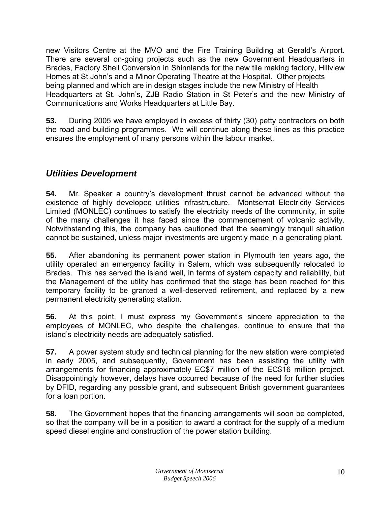<span id="page-11-0"></span>new Visitors Centre at the MVO and the Fire Training Building at Gerald's Airport. There are several on-going projects such as the new Government Headquarters in Brades, Factory Shell Conversion in Shinnlands for the new tile making factory, Hillview Homes at St John's and a Minor Operating Theatre at the Hospital. Other projects being planned and which are in design stages include the new Ministry of Health Headquarters at St. John's, ZJB Radio Station in St Peter's and the new Ministry of Communications and Works Headquarters at Little Bay.

**53.** During 2005 we have employed in excess of thirty (30) petty contractors on both the road and building programmes. We will continue along these lines as this practice ensures the employment of many persons within the labour market.

# *Utilities Development*

**54.** Mr. Speaker a country's development thrust cannot be advanced without the existence of highly developed utilities infrastructure. Montserrat Electricity Services Limited (MONLEC) continues to satisfy the electricity needs of the community, in spite of the many challenges it has faced since the commencement of volcanic activity. Notwithstanding this, the company has cautioned that the seemingly tranquil situation cannot be sustained, unless major investments are urgently made in a generating plant.

**55.** After abandoning its permanent power station in Plymouth ten years ago, the utility operated an emergency facility in Salem, which was subsequently relocated to Brades. This has served the island well, in terms of system capacity and reliability, but the Management of the utility has confirmed that the stage has been reached for this temporary facility to be granted a well-deserved retirement, and replaced by a new permanent electricity generating station.

**56.** At this point, I must express my Government's sincere appreciation to the employees of MONLEC, who despite the challenges, continue to ensure that the island's electricity needs are adequately satisfied.

**57.** A power system study and technical planning for the new station were completed in early 2005, and subsequently, Government has been assisting the utility with arrangements for financing approximately EC\$7 million of the EC\$16 million project. Disappointingly however, delays have occurred because of the need for further studies by DFID, regarding any possible grant, and subsequent British government guarantees for a loan portion.

**58.** The Government hopes that the financing arrangements will soon be completed, so that the company will be in a position to award a contract for the supply of a medium speed diesel engine and construction of the power station building.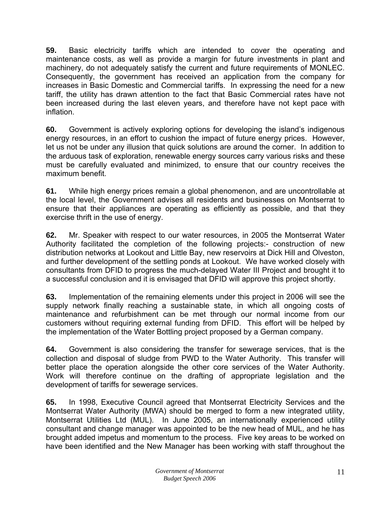**59.** Basic electricity tariffs which are intended to cover the operating and maintenance costs, as well as provide a margin for future investments in plant and machinery, do not adequately satisfy the current and future requirements of MONLEC. Consequently, the government has received an application from the company for increases in Basic Domestic and Commercial tariffs. In expressing the need for a new tariff, the utility has drawn attention to the fact that Basic Commercial rates have not been increased during the last eleven years, and therefore have not kept pace with inflation.

**60.** Government is actively exploring options for developing the island's indigenous energy resources, in an effort to cushion the impact of future energy prices. However, let us not be under any illusion that quick solutions are around the corner. In addition to the arduous task of exploration, renewable energy sources carry various risks and these must be carefully evaluated and minimized, to ensure that our country receives the maximum benefit.

**61.** While high energy prices remain a global phenomenon, and are uncontrollable at the local level, the Government advises all residents and businesses on Montserrat to ensure that their appliances are operating as efficiently as possible, and that they exercise thrift in the use of energy.

**62.** Mr. Speaker with respect to our water resources, in 2005 the Montserrat Water Authority facilitated the completion of the following projects:- construction of new distribution networks at Lookout and Little Bay, new reservoirs at Dick Hill and Olveston, and further development of the settling ponds at Lookout. We have worked closely with consultants from DFID to progress the much-delayed Water III Project and brought it to a successful conclusion and it is envisaged that DFID will approve this project shortly.

**63.** Implementation of the remaining elements under this project in 2006 will see the supply network finally reaching a sustainable state, in which all ongoing costs of maintenance and refurbishment can be met through our normal income from our customers without requiring external funding from DFID. This effort will be helped by the implementation of the Water Bottling project proposed by a German company.

**64.** Government is also considering the transfer for sewerage services, that is the collection and disposal of sludge from PWD to the Water Authority. This transfer will better place the operation alongside the other core services of the Water Authority. Work will therefore continue on the drafting of appropriate legislation and the development of tariffs for sewerage services.

**65.** In 1998, Executive Council agreed that Montserrat Electricity Services and the Montserrat Water Authority (MWA) should be merged to form a new integrated utility, Montserrat Utilities Ltd (MUL). In June 2005, an internationally experienced utility consultant and change manager was appointed to be the new head of MUL, and he has brought added impetus and momentum to the process. Five key areas to be worked on have been identified and the New Manager has been working with staff throughout the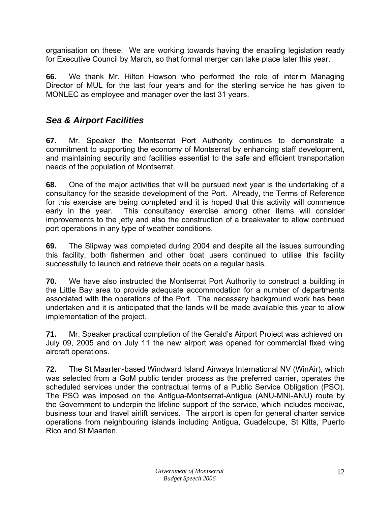<span id="page-13-0"></span>organisation on these. We are working towards having the enabling legislation ready for Executive Council by March, so that formal merger can take place later this year.

**66.** We thank Mr. Hilton Howson who performed the role of interim Managing Director of MUL for the last four years and for the sterling service he has given to MONLEC as employee and manager over the last 31 years.

# *Sea & Airport Facilities*

**67.** Mr. Speaker the Montserrat Port Authority continues to demonstrate a commitment to supporting the economy of Montserrat by enhancing staff development, and maintaining security and facilities essential to the safe and efficient transportation needs of the population of Montserrat.

**68.** One of the major activities that will be pursued next year is the undertaking of a consultancy for the seaside development of the Port. Already, the Terms of Reference for this exercise are being completed and it is hoped that this activity will commence early in the year. This consultancy exercise among other items will consider improvements to the jetty and also the construction of a breakwater to allow continued port operations in any type of weather conditions.

**69.** The Slipway was completed during 2004 and despite all the issues surrounding this facility, both fishermen and other boat users continued to utilise this facility successfully to launch and retrieve their boats on a regular basis.

**70.** We have also instructed the Montserrat Port Authority to construct a building in the Little Bay area to provide adequate accommodation for a number of departments associated with the operations of the Port. The necessary background work has been undertaken and it is anticipated that the lands will be made available this year to allow implementation of the project.

**71.** Mr. Speaker practical completion of the Gerald's Airport Project was achieved on July 09, 2005 and on July 11 the new airport was opened for commercial fixed wing aircraft operations.

**72.** The St Maarten-based Windward Island Airways International NV (WinAir), which was selected from a GoM public tender process as the preferred carrier, operates the scheduled services under the contractual terms of a Public Service Obligation (PSO). The PSO was imposed on the Antigua-Montserrat-Antigua (ANU-MNI-ANU) route by the Government to underpin the lifeline support of the service, which includes medivac, business tour and travel airlift services. The airport is open for general charter service operations from neighbouring islands including Antigua, Guadeloupe, St Kitts, Puerto Rico and St Maarten.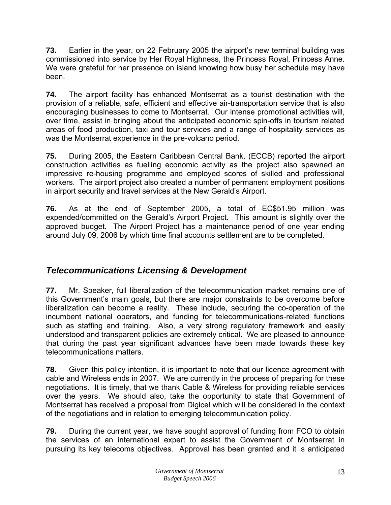<span id="page-14-0"></span>**73.** Earlier in the year, on 22 February 2005 the airport's new terminal building was commissioned into service by Her Royal Highness, the Princess Royal, Princess Anne. We were grateful for her presence on island knowing how busy her schedule may have been.

**74.** The airport facility has enhanced Montserrat as a tourist destination with the provision of a reliable, safe, efficient and effective air-transportation service that is also encouraging businesses to come to Montserrat. Our intense promotional activities will, over time, assist in bringing about the anticipated economic spin-offs in tourism related areas of food production, taxi and tour services and a range of hospitality services as was the Montserrat experience in the pre-volcano period.

**75.** During 2005, the Eastern Caribbean Central Bank, (ECCB) reported the airport construction activities as fuelling economic activity as the project also spawned an impressive re-housing programme and employed scores of skilled and professional workers. The airport project also created a number of permanent employment positions in airport security and travel services at the New Gerald's Airport.

**76.** As at the end of September 2005, a total of EC\$51.95 million was expended/committed on the Gerald's Airport Project. This amount is slightly over the approved budget. The Airport Project has a maintenance period of one year ending around July 09, 2006 by which time final accounts settlement are to be completed.

# *Telecommunications Licensing & Development*

**77.** Mr. Speaker, full liberalization of the telecommunication market remains one of this Government's main goals, but there are major constraints to be overcome before liberalization can become a reality. These include, securing the co-operation of the incumbent national operators, and funding for telecommunications-related functions such as staffing and training. Also, a very strong regulatory framework and easily understood and transparent policies are extremely critical. We are pleased to announce that during the past year significant advances have been made towards these key telecommunications matters.

**78.** Given this policy intention, it is important to note that our licence agreement with cable and Wireless ends in 2007. We are currently in the process of preparing for these negotiations. It is timely, that we thank Cable & Wireless for providing reliable services over the years. We should also, take the opportunity to state that Government of Montserrat has received a proposal from Digicel which will be considered in the context of the negotiations and in relation to emerging telecommunication policy.

**79.** During the current year, we have sought approval of funding from FCO to obtain the services of an international expert to assist the Government of Montserrat in pursuing its key telecoms objectives. Approval has been granted and it is anticipated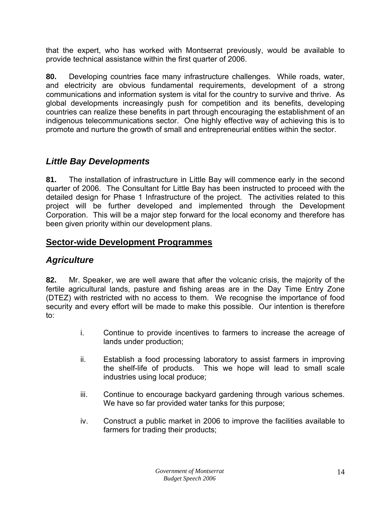<span id="page-15-0"></span>that the expert, who has worked with Montserrat previously, would be available to provide technical assistance within the first quarter of 2006.

**80.** Developing countries face many infrastructure challenges. While roads, water, and electricity are obvious fundamental requirements, development of a strong communications and information system is vital for the country to survive and thrive. As global developments increasingly push for competition and its benefits, developing countries can realize these benefits in part through encouraging the establishment of an indigenous telecommunications sector. One highly effective way of achieving this is to promote and nurture the growth of small and entrepreneurial entities within the sector.

### *Little Bay Developments*

**81.** The installation of infrastructure in Little Bay will commence early in the second quarter of 2006. The Consultant for Little Bay has been instructed to proceed with the detailed design for Phase 1 Infrastructure of the project. The activities related to this project will be further developed and implemented through the Development Corporation. This will be a major step forward for the local economy and therefore has been given priority within our development plans.

#### **Sector-wide Development Programmes**

#### *Agriculture*

**82.** Mr. Speaker, we are well aware that after the volcanic crisis, the majority of the fertile agricultural lands, pasture and fishing areas are in the Day Time Entry Zone (DTEZ) with restricted with no access to them. We recognise the importance of food security and every effort will be made to make this possible. Our intention is therefore to:

- i. Continue to provide incentives to farmers to increase the acreage of lands under production;
- ii. Establish a food processing laboratory to assist farmers in improving the shelf-life of products. This we hope will lead to small scale industries using local produce;
- iii. Continue to encourage backyard gardening through various schemes. We have so far provided water tanks for this purpose;
- iv. Construct a public market in 2006 to improve the facilities available to farmers for trading their products;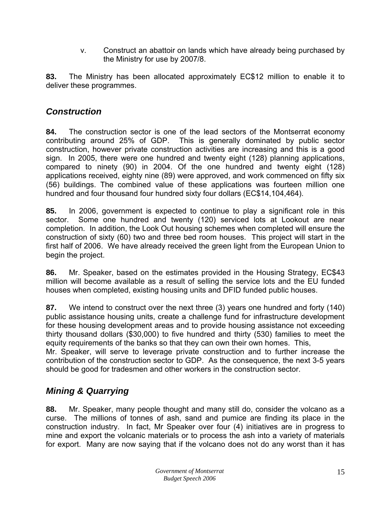v. Construct an abattoir on lands which have already being purchased by the Ministry for use by 2007/8.

<span id="page-16-0"></span>**83.** The Ministry has been allocated approximately EC\$12 million to enable it to deliver these programmes.

### *Construction*

**84.** The construction sector is one of the lead sectors of the Montserrat economy contributing around 25% of GDP. This is generally dominated by public sector construction, however private construction activities are increasing and this is a good sign. In 2005, there were one hundred and twenty eight (128) planning applications, compared to ninety (90) in 2004. Of the one hundred and twenty eight (128) applications received, eighty nine (89) were approved, and work commenced on fifty six (56) buildings. The combined value of these applications was fourteen million one hundred and four thousand four hundred sixty four dollars (EC\$14,104,464).

**85.** In 2006, government is expected to continue to play a significant role in this sector. Some one hundred and twenty (120) serviced lots at Lookout are near completion. In addition, the Look Out housing schemes when completed will ensure the construction of sixty (60) two and three bed room houses. This project will start in the first half of 2006. We have already received the green light from the European Union to begin the project.

**86.** Mr. Speaker, based on the estimates provided in the Housing Strategy, EC\$43 million will become available as a result of selling the service lots and the EU funded houses when completed, existing housing units and DFID funded public houses.

**87.** We intend to construct over the next three (3) years one hundred and forty (140) public assistance housing units, create a challenge fund for infrastructure development for these housing development areas and to provide housing assistance not exceeding thirty thousand dollars (\$30,000) to five hundred and thirty (530) families to meet the equity requirements of the banks so that they can own their own homes. This,

Mr. Speaker, will serve to leverage private construction and to further increase the contribution of the construction sector to GDP. As the consequence, the next 3-5 years should be good for tradesmen and other workers in the construction sector.

# *Mining & Quarrying*

**88.** Mr. Speaker, many people thought and many still do, consider the volcano as a curse. The millions of tonnes of ash, sand and pumice are finding its place in the construction industry. In fact, Mr Speaker over four (4) initiatives are in progress to mine and export the volcanic materials or to process the ash into a variety of materials for export. Many are now saying that if the volcano does not do any worst than it has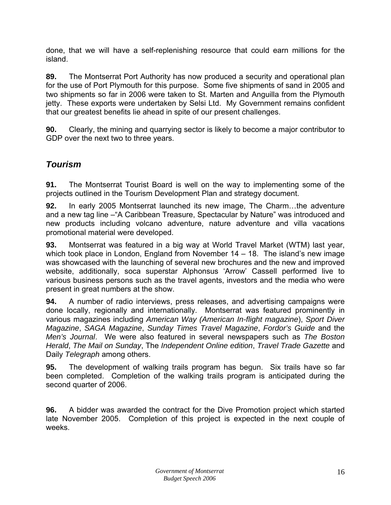<span id="page-17-0"></span>done, that we will have a self-replenishing resource that could earn millions for the island.

**89.** The Montserrat Port Authority has now produced a security and operational plan for the use of Port Plymouth for this purpose. Some five shipments of sand in 2005 and two shipments so far in 2006 were taken to St. Marten and Anguilla from the Plymouth jetty. These exports were undertaken by Selsi Ltd. My Government remains confident that our greatest benefits lie ahead in spite of our present challenges.

**90.** Clearly, the mining and quarrying sector is likely to become a major contributor to GDP over the next two to three years.

# *Tourism*

**91.** The Montserrat Tourist Board is well on the way to implementing some of the projects outlined in the Tourism Development Plan and strategy document.

**92.** In early 2005 Montserrat launched its new image, The Charm…the adventure and a new tag line –"A Caribbean Treasure, Spectacular by Nature" was introduced and new products including volcano adventure, nature adventure and villa vacations promotional material were developed.

**93.** Montserrat was featured in a big way at World Travel Market (WTM) last year, which took place in London, England from November  $14 - 18$ . The island's new image was showcased with the launching of several new brochures and the new and improved website, additionally, soca superstar Alphonsus 'Arrow' Cassell performed live to various business persons such as the travel agents, investors and the media who were present in great numbers at the show.

**94.** A number of radio interviews, press releases, and advertising campaigns were done locally, regionally and internationally. Montserrat was featured prominently in various magazines including *American Way (American In-flight magazine*), *Sport Diver Magazine*, *SAGA Magazine*, *Sunday Times Travel Magazine*, *Fordor's Guide* and the *Men's Journal*. We were also featured in several newspapers such as *The Boston Herald*, *The Mail on Sunday*, The *Independent Online edition*, *Travel Trade Gazette* and Daily *Telegraph* among others.

**95.** The development of walking trails program has begun. Six trails have so far been completed. Completion of the walking trails program is anticipated during the second quarter of 2006.

**96.** A bidder was awarded the contract for the Dive Promotion project which started late November 2005. Completion of this project is expected in the next couple of weeks.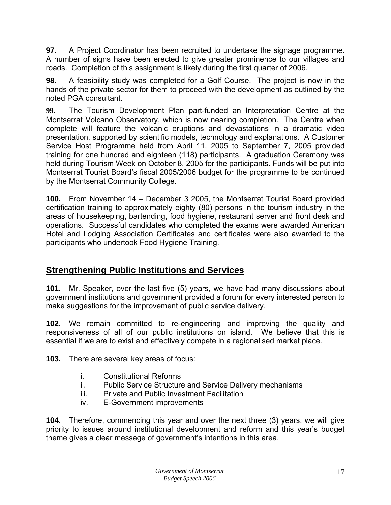<span id="page-18-0"></span>**97.** A Project Coordinator has been recruited to undertake the signage programme. A number of signs have been erected to give greater prominence to our villages and roads. Completion of this assignment is likely during the first quarter of 2006.

**98.** A feasibility study was completed for a Golf Course. The project is now in the hands of the private sector for them to proceed with the development as outlined by the noted PGA consultant.

**99.** The Tourism Development Plan part-funded an Interpretation Centre at the Montserrat Volcano Observatory, which is now nearing completion. The Centre when complete will feature the volcanic eruptions and devastations in a dramatic video presentation, supported by scientific models, technology and explanations. A Customer Service Host Programme held from April 11, 2005 to September 7, 2005 provided training for one hundred and eighteen (118) participants. A graduation Ceremony was held during Tourism Week on October 8, 2005 for the participants. Funds will be put into Montserrat Tourist Board's fiscal 2005/2006 budget for the programme to be continued by the Montserrat Community College.

**100.** From November 14 – December 3 2005, the Montserrat Tourist Board provided certification training to approximately eighty (80) persons in the tourism industry in the areas of housekeeping, bartending, food hygiene, restaurant server and front desk and operations. Successful candidates who completed the exams were awarded American Hotel and Lodging Association Certificates and certificates were also awarded to the participants who undertook Food Hygiene Training.

# **Strengthening Public Institutions and Services**

**101.** Mr. Speaker, over the last five (5) years, we have had many discussions about government institutions and government provided a forum for every interested person to make suggestions for the improvement of public service delivery.

**102.** We remain committed to re-engineering and improving the quality and responsiveness of all of our public institutions on island. We believe that this is essential if we are to exist and effectively compete in a regionalised market place.

**103.** There are several key areas of focus:

- i. Constitutional Reforms
- ii. Public Service Structure and Service Delivery mechanisms
- iii. Private and Public Investment Facilitation
- iv. E-Government improvements

**104.** Therefore, commencing this year and over the next three (3) years, we will give priority to issues around institutional development and reform and this year's budget theme gives a clear message of government's intentions in this area.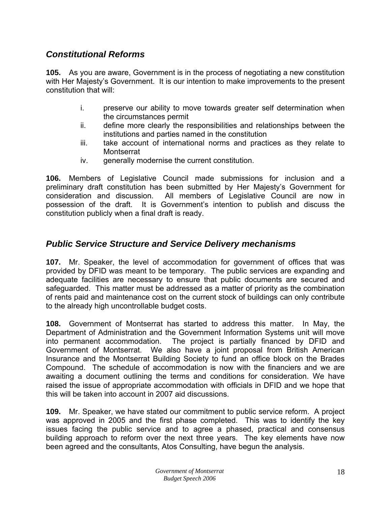### <span id="page-19-0"></span>*Constitutional Reforms*

**105.** As you are aware, Government is in the process of negotiating a new constitution with Her Majesty's Government. It is our intention to make improvements to the present constitution that will:

- i. preserve our ability to move towards greater self determination when the circumstances permit
- ii. define more clearly the responsibilities and relationships between the institutions and parties named in the constitution
- iii. take account of international norms and practices as they relate to **Montserrat**
- iv. generally modernise the current constitution.

**106.** Members of Legislative Council made submissions for inclusion and a preliminary draft constitution has been submitted by Her Majesty's Government for consideration and discussion. All members of Legislative Council are now in possession of the draft. It is Government's intention to publish and discuss the constitution publicly when a final draft is ready.

#### *Public Service Structure and Service Delivery mechanisms*

**107.** Mr. Speaker, the level of accommodation for government of offices that was provided by DFID was meant to be temporary. The public services are expanding and adequate facilities are necessary to ensure that public documents are secured and safeguarded. This matter must be addressed as a matter of priority as the combination of rents paid and maintenance cost on the current stock of buildings can only contribute to the already high uncontrollable budget costs.

**108.** Government of Montserrat has started to address this matter. In May, the Department of Administration and the Government Information Systems unit will move into permanent accommodation. The project is partially financed by DFID and Government of Montserrat. We also have a joint proposal from British American Insurance and the Montserrat Building Society to fund an office block on the Brades Compound. The schedule of accommodation is now with the financiers and we are awaiting a document outlining the terms and conditions for consideration. We have raised the issue of appropriate accommodation with officials in DFID and we hope that this will be taken into account in 2007 aid discussions.

**109.** Mr. Speaker, we have stated our commitment to public service reform. A project was approved in 2005 and the first phase completed. This was to identify the key issues facing the public service and to agree a phased, practical and consensus building approach to reform over the next three years. The key elements have now been agreed and the consultants, Atos Consulting, have begun the analysis.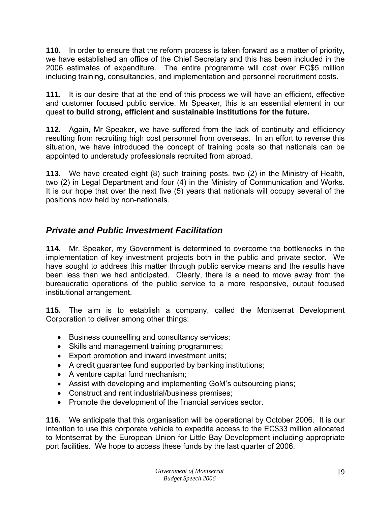<span id="page-20-0"></span>**110.** In order to ensure that the reform process is taken forward as a matter of priority, we have established an office of the Chief Secretary and this has been included in the 2006 estimates of expenditure. The entire programme will cost over EC\$5 million including training, consultancies, and implementation and personnel recruitment costs.

**111.** It is our desire that at the end of this process we will have an efficient, effective and customer focused public service. Mr Speaker, this is an essential element in our quest **to build strong, efficient and sustainable institutions for the future.** 

**112.** Again, Mr Speaker, we have suffered from the lack of continuity and efficiency resulting from recruiting high cost personnel from overseas. In an effort to reverse this situation, we have introduced the concept of training posts so that nationals can be appointed to understudy professionals recruited from abroad.

**113.** We have created eight (8) such training posts, two (2) in the Ministry of Health, two (2) in Legal Department and four (4) in the Ministry of Communication and Works. It is our hope that over the next five (5) years that nationals will occupy several of the positions now held by non-nationals.

# *Private and Public Investment Facilitation*

**114.** Mr. Speaker, my Government is determined to overcome the bottlenecks in the implementation of key investment projects both in the public and private sector. We have sought to address this matter through public service means and the results have been less than we had anticipated. Clearly, there is a need to move away from the bureaucratic operations of the public service to a more responsive, output focused institutional arrangement.

**115.** The aim is to establish a company, called the Montserrat Development Corporation to deliver among other things:

- Business counselling and consultancy services;
- Skills and management training programmes;
- Export promotion and inward investment units;
- A credit guarantee fund supported by banking institutions;
- A venture capital fund mechanism;
- Assist with developing and implementing GoM's outsourcing plans;
- Construct and rent industrial/business premises;
- Promote the development of the financial services sector.

**116.** We anticipate that this organisation will be operational by October 2006. It is our intention to use this corporate vehicle to expedite access to the EC\$33 million allocated to Montserrat by the European Union for Little Bay Development including appropriate port facilities. We hope to access these funds by the last quarter of 2006.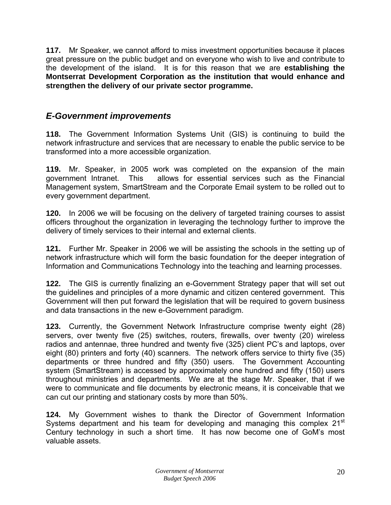<span id="page-21-0"></span>**117.** Mr Speaker, we cannot afford to miss investment opportunities because it places great pressure on the public budget and on everyone who wish to live and contribute to the development of the island. It is for this reason that we are **establishing the Montserrat Development Corporation as the institution that would enhance and strengthen the delivery of our private sector programme.** 

### *E-Government improvements*

**118.** The Government Information Systems Unit (GIS) is continuing to build the network infrastructure and services that are necessary to enable the public service to be transformed into a more accessible organization.

**119.** Mr. Speaker, in 2005 work was completed on the expansion of the main government Intranet. This allows for essential services such as the Financial Management system, SmartStream and the Corporate Email system to be rolled out to every government department.

**120.** In 2006 we will be focusing on the delivery of targeted training courses to assist officers throughout the organization in leveraging the technology further to improve the delivery of timely services to their internal and external clients.

**121.** Further Mr. Speaker in 2006 we will be assisting the schools in the setting up of network infrastructure which will form the basic foundation for the deeper integration of Information and Communications Technology into the teaching and learning processes.

**122.** The GIS is currently finalizing an e-Government Strategy paper that will set out the guidelines and principles of a more dynamic and citizen centered government. This Government will then put forward the legislation that will be required to govern business and data transactions in the new e-Government paradigm.

**123.** Currently, the Government Network Infrastructure comprise twenty eight (28) servers, over twenty five (25) switches, routers, firewalls, over twenty (20) wireless radios and antennae, three hundred and twenty five (325) client PC's and laptops, over eight (80) printers and forty (40) scanners. The network offers service to thirty five (35) departments or three hundred and fifty (350) users. The Government Accounting system (SmartStream) is accessed by approximately one hundred and fifty (150) users throughout ministries and departments. We are at the stage Mr. Speaker, that if we were to communicate and file documents by electronic means, it is conceivable that we can cut our printing and stationary costs by more than 50%.

**124.** My Government wishes to thank the Director of Government Information Systems department and his team for developing and managing this complex 21<sup>st</sup> Century technology in such a short time. It has now become one of GoM's most valuable assets.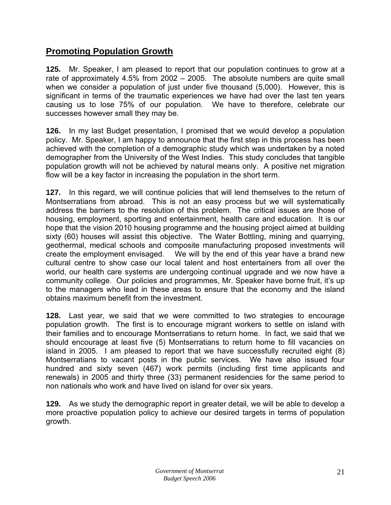# <span id="page-22-0"></span>**Promoting Population Growth**

**125.** Mr. Speaker, I am pleased to report that our population continues to grow at a rate of approximately 4.5% from 2002 – 2005. The absolute numbers are quite small when we consider a population of just under five thousand (5,000). However, this is significant in terms of the traumatic experiences we have had over the last ten years causing us to lose 75% of our population. We have to therefore, celebrate our successes however small they may be.

**126.** In my last Budget presentation, I promised that we would develop a population policy. Mr. Speaker, I am happy to announce that the first step in this process has been achieved with the completion of a demographic study which was undertaken by a noted demographer from the University of the West Indies. This study concludes that tangible population growth will not be achieved by natural means only. A positive net migration flow will be a key factor in increasing the population in the short term.

**127.** In this regard, we will continue policies that will lend themselves to the return of Montserratians from abroad. This is not an easy process but we will systematically address the barriers to the resolution of this problem. The critical issues are those of housing, employment, sporting and entertainment, health care and education. It is our hope that the vision 2010 housing programme and the housing project aimed at building sixty (60) houses will assist this objective. The Water Bottling, mining and quarrying, geothermal, medical schools and composite manufacturing proposed investments will create the employment envisaged. We will by the end of this year have a brand new cultural centre to show case our local talent and host entertainers from all over the world, our health care systems are undergoing continual upgrade and we now have a community college. Our policies and programmes, Mr. Speaker have borne fruit, it's up to the managers who lead in these areas to ensure that the economy and the island obtains maximum benefit from the investment.

**128.** Last year, we said that we were committed to two strategies to encourage population growth. The first is to encourage migrant workers to settle on island with their families and to encourage Montserratians to return home. In fact, we said that we should encourage at least five (5) Montserratians to return home to fill vacancies on island in 2005. I am pleased to report that we have successfully recruited eight (8) Montserratians to vacant posts in the public services. We have also issued four hundred and sixty seven (467) work permits (including first time applicants and renewals) in 2005 and thirty three (33) permanent residencies for the same period to non nationals who work and have lived on island for over six years.

**129.** As we study the demographic report in greater detail, we will be able to develop a more proactive population policy to achieve our desired targets in terms of population growth.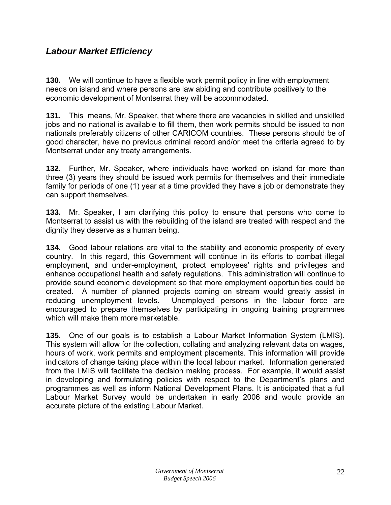### <span id="page-23-0"></span>*Labour Market Efficiency*

**130.** We will continue to have a flexible work permit policy in line with employment needs on island and where persons are law abiding and contribute positively to the economic development of Montserrat they will be accommodated.

**131.** This means, Mr. Speaker, that where there are vacancies in skilled and unskilled jobs and no national is available to fill them, then work permits should be issued to non nationals preferably citizens of other CARICOM countries. These persons should be of good character, have no previous criminal record and/or meet the criteria agreed to by Montserrat under any treaty arrangements.

**132.** Further, Mr. Speaker, where individuals have worked on island for more than three (3) years they should be issued work permits for themselves and their immediate family for periods of one (1) year at a time provided they have a job or demonstrate they can support themselves.

**133.** Mr. Speaker, I am clarifying this policy to ensure that persons who come to Montserrat to assist us with the rebuilding of the island are treated with respect and the dignity they deserve as a human being.

**134.** Good labour relations are vital to the stability and economic prosperity of every country. In this regard, this Government will continue in its efforts to combat illegal employment, and under-employment, protect employees' rights and privileges and enhance occupational health and safety regulations. This administration will continue to provide sound economic development so that more employment opportunities could be created. A number of planned projects coming on stream would greatly assist in reducing unemployment levels. Unemployed persons in the labour force are encouraged to prepare themselves by participating in ongoing training programmes which will make them more marketable.

**135.** One of our goals is to establish a Labour Market Information System (LMIS). This system will allow for the collection, collating and analyzing relevant data on wages, hours of work, work permits and employment placements. This information will provide indicators of change taking place within the local labour market. Information generated from the LMIS will facilitate the decision making process. For example, it would assist in developing and formulating policies with respect to the Department's plans and programmes as well as inform National Development Plans. It is anticipated that a full Labour Market Survey would be undertaken in early 2006 and would provide an accurate picture of the existing Labour Market.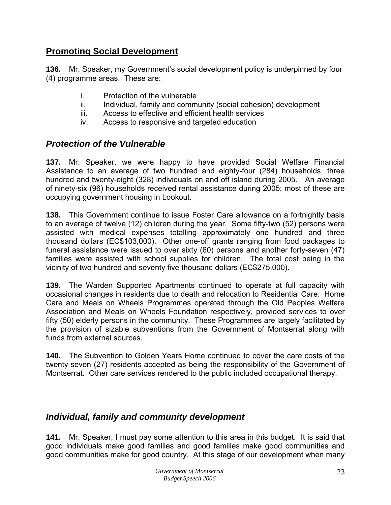### <span id="page-24-0"></span>**Promoting Social Development**

**136.** Mr. Speaker, my Government's social development policy is underpinned by four (4) programme areas. These are:

- i. Protection of the vulnerable
- ii. Individual, family and community (social cohesion) development
- iii. Access to effective and efficient health services
- iv. Access to responsive and targeted education

#### *Protection of the Vulnerable*

**137.** Mr. Speaker, we were happy to have provided Social Welfare Financial Assistance to an average of two hundred and eighty-four (284) households, three hundred and twenty-eight (328) individuals on and off island during 2005. An average of ninety-six (96) households received rental assistance during 2005; most of these are occupying government housing in Lookout.

**138.** This Government continue to issue Foster Care allowance on a fortnightly basis to an average of twelve (12) children during the year. Some fifty-two (52) persons were assisted with medical expenses totalling approximately one hundred and three thousand dollars (EC\$103,000). Other one-off grants ranging from food packages to funeral assistance were issued to over sixty (60) persons and another forty-seven (47) families were assisted with school supplies for children. The total cost being in the vicinity of two hundred and seventy five thousand dollars (EC\$275,000).

**139.** The Warden Supported Apartments continued to operate at full capacity with occasional changes in residents due to death and relocation to Residential Care. Home Care and Meals on Wheels Programmes operated through the Old Peoples Welfare Association and Meals on Wheels Foundation respectively, provided services to over fifty (50) elderly persons in the community. These Programmes are largely facilitated by the provision of sizable subventions from the Government of Montserrat along with funds from external sources.

**140.** The Subvention to Golden Years Home continued to cover the care costs of the twenty-seven (27) residents accepted as being the responsibility of the Government of Montserrat. Other care services rendered to the public included occupational therapy.

#### *Individual, family and community development*

**141.** Mr. Speaker, I must pay some attention to this area in this budget. It is said that good individuals make good families and good families make good communities and good communities make for good country. At this stage of our development when many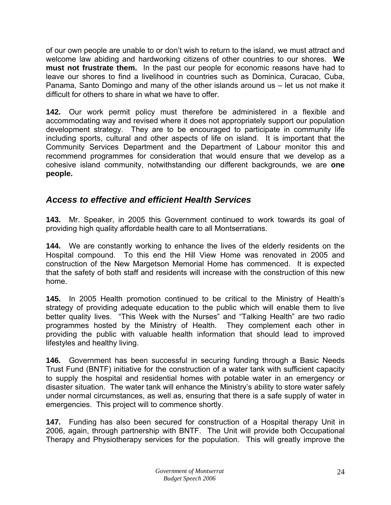<span id="page-25-0"></span>of our own people are unable to or don't wish to return to the island, we must attract and welcome law abiding and hardworking citizens of other countries to our shores. **We must not frustrate them.** In the past our people for economic reasons have had to leave our shores to find a livelihood in countries such as Dominica, Curacao, Cuba, Panama, Santo Domingo and many of the other islands around us – let us not make it difficult for others to share in what we have to offer.

**142.** Our work permit policy must therefore be administered in a flexible and accommodating way and revised where it does not appropriately support our population development strategy. They are to be encouraged to participate in community life including sports, cultural and other aspects of life on island. It is important that the Community Services Department and the Department of Labour monitor this and recommend programmes for consideration that would ensure that we develop as a cohesive island community, notwithstanding our different backgrounds, we are **one people.**

# *Access to effective and efficient Health Services*

**143.** Mr. Speaker, in 2005 this Government continued to work towards its goal of providing high quality affordable health care to all Montserratians.

**144.** We are constantly working to enhance the lives of the elderly residents on the Hospital compound. To this end the Hill View Home was renovated in 2005 and construction of the New Margetson Memorial Home has commenced. It is expected that the safety of both staff and residents will increase with the construction of this new home.

**145.** In 2005 Health promotion continued to be critical to the Ministry of Health's strategy of providing adequate education to the public which will enable them to live better quality lives. "This Week with the Nurses" and "Talking Health" are two radio programmes hosted by the Ministry of Health. They complement each other in providing the public with valuable health information that should lead to improved lifestyles and healthy living.

**146.** Government has been successful in securing funding through a Basic Needs Trust Fund (BNTF) initiative for the construction of a water tank with sufficient capacity to supply the hospital and residential homes with potable water in an emergency or disaster situation. The water tank will enhance the Ministry's ability to store water safely under normal circumstances, as well as, ensuring that there is a safe supply of water in emergencies. This project will to commence shortly.

**147.** Funding has also been secured for construction of a Hospital therapy Unit in 2006, again, through partnership with BNTF. The Unit will provide both Occupational Therapy and Physiotherapy services for the population. This will greatly improve the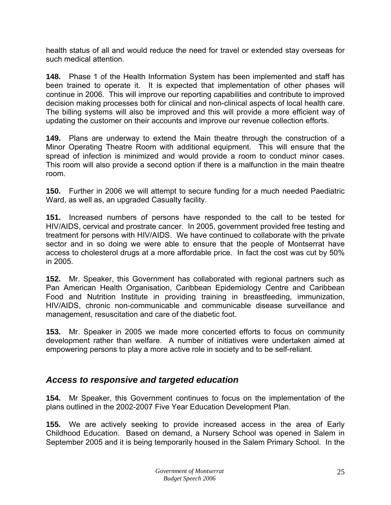<span id="page-26-0"></span>health status of all and would reduce the need for travel or extended stay overseas for such medical attention.

**148.** Phase 1 of the Health Information System has been implemented and staff has been trained to operate it. It is expected that implementation of other phases will continue in 2006. This will improve our reporting capabilities and contribute to improved decision making processes both for clinical and non-clinical aspects of local health care. The billing systems will also be improved and this will provide a more efficient way of updating the customer on their accounts and improve our revenue collection efforts.

**149.** Plans are underway to extend the Main theatre through the construction of a Minor Operating Theatre Room with additional equipment. This will ensure that the spread of infection is minimized and would provide a room to conduct minor cases. This room will also provide a second option if there is a malfunction in the main theatre room.

**150.** Further in 2006 we will attempt to secure funding for a much needed Paediatric Ward, as well as, an upgraded Casualty facility.

**151.** Increased numbers of persons have responded to the call to be tested for HIV/AIDS, cervical and prostrate cancer. In 2005, government provided free testing and treatment for persons with HIV/AIDS. We have continued to collaborate with the private sector and in so doing we were able to ensure that the people of Montserrat have access to cholesterol drugs at a more affordable price. In fact the cost was cut by 50% in 2005.

**152.** Mr. Speaker, this Government has collaborated with regional partners such as Pan American Health Organisation, Caribbean Epidemiology Centre and Caribbean Food and Nutrition Institute in providing training in breastfeeding, immunization, HIV/AIDS, chronic non-communicable and communicable disease surveillance and management, resuscitation and care of the diabetic foot.

**153.** Mr. Speaker in 2005 we made more concerted efforts to focus on community development rather than welfare. A number of initiatives were undertaken aimed at empowering persons to play a more active role in society and to be self-reliant.

#### *Access to responsive and targeted education*

**154.** Mr Speaker, this Government continues to focus on the implementation of the plans outlined in the 2002-2007 Five Year Education Development Plan.

**155.** We are actively seeking to provide increased access in the area of Early Childhood Education. Based on demand, a Nursery School was opened in Salem in September 2005 and it is being temporarily housed in the Salem Primary School. In the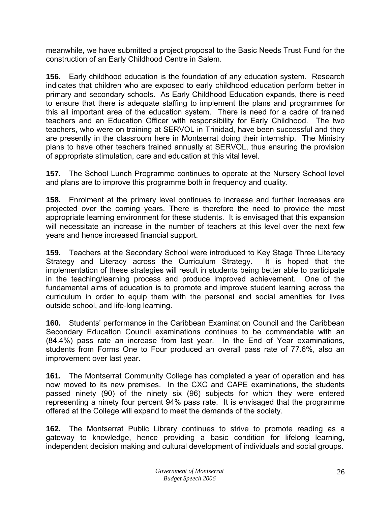meanwhile, we have submitted a project proposal to the Basic Needs Trust Fund for the construction of an Early Childhood Centre in Salem.

**156.** Early childhood education is the foundation of any education system. Research indicates that children who are exposed to early childhood education perform better in primary and secondary schools. As Early Childhood Education expands, there is need to ensure that there is adequate staffing to implement the plans and programmes for this all important area of the education system. There is need for a cadre of trained teachers and an Education Officer with responsibility for Early Childhood. The two teachers, who were on training at SERVOL in Trinidad, have been successful and they are presently in the classroom here in Montserrat doing their internship. The Ministry plans to have other teachers trained annually at SERVOL, thus ensuring the provision of appropriate stimulation, care and education at this vital level.

**157.** The School Lunch Programme continues to operate at the Nursery School level and plans are to improve this programme both in frequency and quality.

**158.** Enrolment at the primary level continues to increase and further increases are projected over the coming years. There is therefore the need to provide the most appropriate learning environment for these students. It is envisaged that this expansion will necessitate an increase in the number of teachers at this level over the next few years and hence increased financial support.

**159.** Teachers at the Secondary School were introduced to Key Stage Three Literacy Strategy and Literacy across the Curriculum Strategy. It is hoped that the implementation of these strategies will result in students being better able to participate in the teaching/learning process and produce improved achievement. One of the fundamental aims of education is to promote and improve student learning across the curriculum in order to equip them with the personal and social amenities for lives outside school, and life-long learning.

**160.** Students' performance in the Caribbean Examination Council and the Caribbean Secondary Education Council examinations continues to be commendable with an (84.4%) pass rate an increase from last year. In the End of Year examinations, students from Forms One to Four produced an overall pass rate of 77.6%, also an improvement over last year.

**161.** The Montserrat Community College has completed a year of operation and has now moved to its new premises. In the CXC and CAPE examinations, the students passed ninety (90) of the ninety six (96) subjects for which they were entered representing a ninety four percent 94% pass rate. It is envisaged that the programme offered at the College will expand to meet the demands of the society.

**162.** The Montserrat Public Library continues to strive to promote reading as a gateway to knowledge, hence providing a basic condition for lifelong learning, independent decision making and cultural development of individuals and social groups.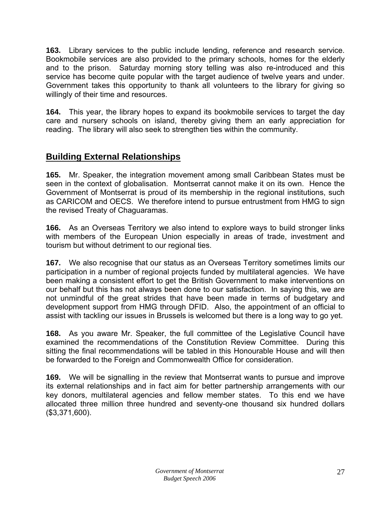<span id="page-28-0"></span>**163.** Library services to the public include lending, reference and research service. Bookmobile services are also provided to the primary schools, homes for the elderly and to the prison. Saturday morning story telling was also re-introduced and this service has become quite popular with the target audience of twelve years and under. Government takes this opportunity to thank all volunteers to the library for giving so willingly of their time and resources.

**164.** This year, the library hopes to expand its bookmobile services to target the day care and nursery schools on island, thereby giving them an early appreciation for reading. The library will also seek to strengthen ties within the community.

# **Building External Relationships**

**165.** Mr. Speaker, the integration movement among small Caribbean States must be seen in the context of globalisation. Montserrat cannot make it on its own. Hence the Government of Montserrat is proud of its membership in the regional institutions, such as CARICOM and OECS. We therefore intend to pursue entrustment from HMG to sign the revised Treaty of Chaguaramas.

**166.** As an Overseas Territory we also intend to explore ways to build stronger links with members of the European Union especially in areas of trade, investment and tourism but without detriment to our regional ties.

**167.** We also recognise that our status as an Overseas Territory sometimes limits our participation in a number of regional projects funded by multilateral agencies. We have been making a consistent effort to get the British Government to make interventions on our behalf but this has not always been done to our satisfaction. In saying this, we are not unmindful of the great strides that have been made in terms of budgetary and development support from HMG through DFID. Also, the appointment of an official to assist with tackling our issues in Brussels is welcomed but there is a long way to go yet.

**168.** As you aware Mr. Speaker, the full committee of the Legislative Council have examined the recommendations of the Constitution Review Committee. During this sitting the final recommendations will be tabled in this Honourable House and will then be forwarded to the Foreign and Commonwealth Office for consideration.

**169.** We will be signalling in the review that Montserrat wants to pursue and improve its external relationships and in fact aim for better partnership arrangements with our key donors, multilateral agencies and fellow member states. To this end we have allocated three million three hundred and seventy-one thousand six hundred dollars (\$3,371,600).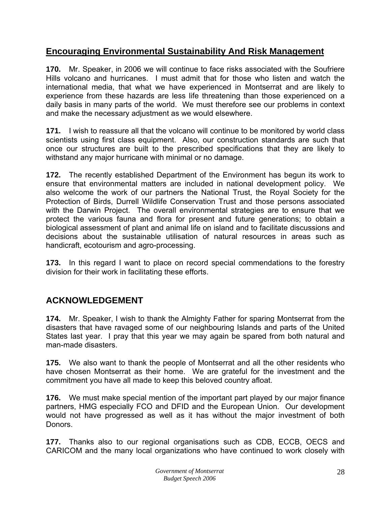# <span id="page-29-0"></span>**Encouraging Environmental Sustainability And Risk Management**

**170.** Mr. Speaker, in 2006 we will continue to face risks associated with the Soufriere Hills volcano and hurricanes. I must admit that for those who listen and watch the international media, that what we have experienced in Montserrat and are likely to experience from these hazards are less life threatening than those experienced on a daily basis in many parts of the world. We must therefore see our problems in context and make the necessary adjustment as we would elsewhere.

**171.** I wish to reassure all that the volcano will continue to be monitored by world class scientists using first class equipment. Also, our construction standards are such that once our structures are built to the prescribed specifications that they are likely to withstand any major hurricane with minimal or no damage.

**172.** The recently established Department of the Environment has begun its work to ensure that environmental matters are included in national development policy. We also welcome the work of our partners the National Trust, the Royal Society for the Protection of Birds, Durrell Wildlife Conservation Trust and those persons associated with the Darwin Project. The overall environmental strategies are to ensure that we protect the various fauna and flora for present and future generations; to obtain a biological assessment of plant and animal life on island and to facilitate discussions and decisions about the sustainable utilisation of natural resources in areas such as handicraft, ecotourism and agro-processing.

**173.** In this regard I want to place on record special commendations to the forestry division for their work in facilitating these efforts.

# **ACKNOWLEDGEMENT**

**174.** Mr. Speaker, I wish to thank the Almighty Father for sparing Montserrat from the disasters that have ravaged some of our neighbouring Islands and parts of the United States last year. I pray that this year we may again be spared from both natural and man-made disasters.

**175.** We also want to thank the people of Montserrat and all the other residents who have chosen Montserrat as their home. We are grateful for the investment and the commitment you have all made to keep this beloved country afloat.

**176.** We must make special mention of the important part played by our major finance partners, HMG especially FCO and DFID and the European Union. Our development would not have progressed as well as it has without the major investment of both Donors.

**177.** Thanks also to our regional organisations such as CDB, ECCB, OECS and CARICOM and the many local organizations who have continued to work closely with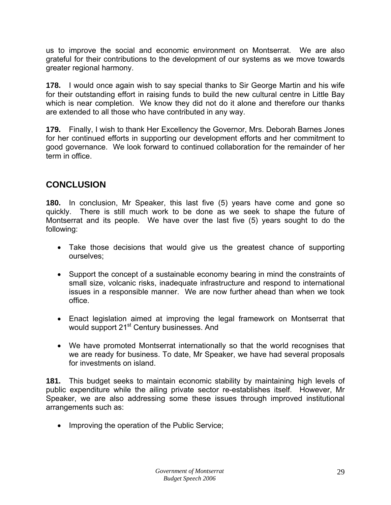<span id="page-30-0"></span>us to improve the social and economic environment on Montserrat. We are also grateful for their contributions to the development of our systems as we move towards greater regional harmony.

**178.** I would once again wish to say special thanks to Sir George Martin and his wife for their outstanding effort in raising funds to build the new cultural centre in Little Bay which is near completion. We know they did not do it alone and therefore our thanks are extended to all those who have contributed in any way.

**179.** Finally, I wish to thank Her Excellency the Governor, Mrs. Deborah Barnes Jones for her continued efforts in supporting our development efforts and her commitment to good governance. We look forward to continued collaboration for the remainder of her term in office.

# **CONCLUSION**

**180.** In conclusion, Mr Speaker, this last five (5) years have come and gone so quickly. There is still much work to be done as we seek to shape the future of Montserrat and its people. We have over the last five (5) years sought to do the following:

- Take those decisions that would give us the greatest chance of supporting ourselves;
- Support the concept of a sustainable economy bearing in mind the constraints of small size, volcanic risks, inadequate infrastructure and respond to international issues in a responsible manner. We are now further ahead than when we took office.
- Enact legislation aimed at improving the legal framework on Montserrat that would support 21<sup>st</sup> Century businesses. And
- We have promoted Montserrat internationally so that the world recognises that we are ready for business. To date, Mr Speaker, we have had several proposals for investments on island.

**181.** This budget seeks to maintain economic stability by maintaining high levels of public expenditure while the ailing private sector re-establishes itself. However, Mr Speaker, we are also addressing some these issues through improved institutional arrangements such as:

• Improving the operation of the Public Service;